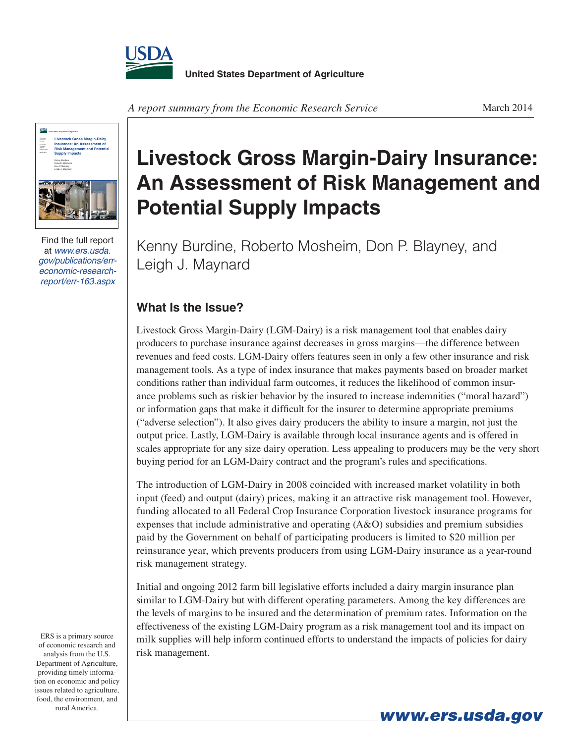



Find the full report at *www.ers.usda. gov/publications/erreconomic-researchreport/err-163.aspx*

## **Livestock Gross Margin-Dairy Insurance: An Assessment of Risk Management and Potential Supply Impacts**

Kenny Burdine, Roberto Mosheim, Don P. Blayney, and Leigh J. Maynard

## **What Is the Issue?**

Livestock Gross Margin-Dairy (LGM-Dairy) is a risk management tool that enables dairy producers to purchase insurance against decreases in gross margins—the difference between revenues and feed costs. LGM-Dairy offers features seen in only a few other insurance and risk management tools. As a type of index insurance that makes payments based on broader market conditions rather than individual farm outcomes, it reduces the likelihood of common insurance problems such as riskier behavior by the insured to increase indemnities ("moral hazard") or information gaps that make it difficult for the insurer to determine appropriate premiums ("adverse selection"). It also gives dairy producers the ability to insure a margin, not just the output price. Lastly, LGM-Dairy is available through local insurance agents and is offered in scales appropriate for any size dairy operation. Less appealing to producers may be the very short buying period for an LGM-Dairy contract and the program's rules and specifications.

The introduction of LGM-Dairy in 2008 coincided with increased market volatility in both input (feed) and output (dairy) prices, making it an attractive risk management tool. However, funding allocated to all Federal Crop Insurance Corporation livestock insurance programs for expenses that include administrative and operating (A&O) subsidies and premium subsidies paid by the Government on behalf of participating producers is limited to \$20 million per reinsurance year, which prevents producers from using LGM-Dairy insurance as a year-round risk management strategy.

Initial and ongoing 2012 farm bill legislative efforts included a dairy margin insurance plan similar to LGM-Dairy but with different operating parameters. Among the key differences are the levels of margins to be insured and the determination of premium rates. Information on the effectiveness of the existing LGM-Dairy program as a risk management tool and its impact on milk supplies will help inform continued efforts to understand the impacts of policies for dairy risk management.

ERS is a primary source of economic research and analysis from the U.S. Department of Agriculture, providing timely information on economic and policy issues related to agriculture, food, the environment, and rural America.

*www.ers.usda.gov*